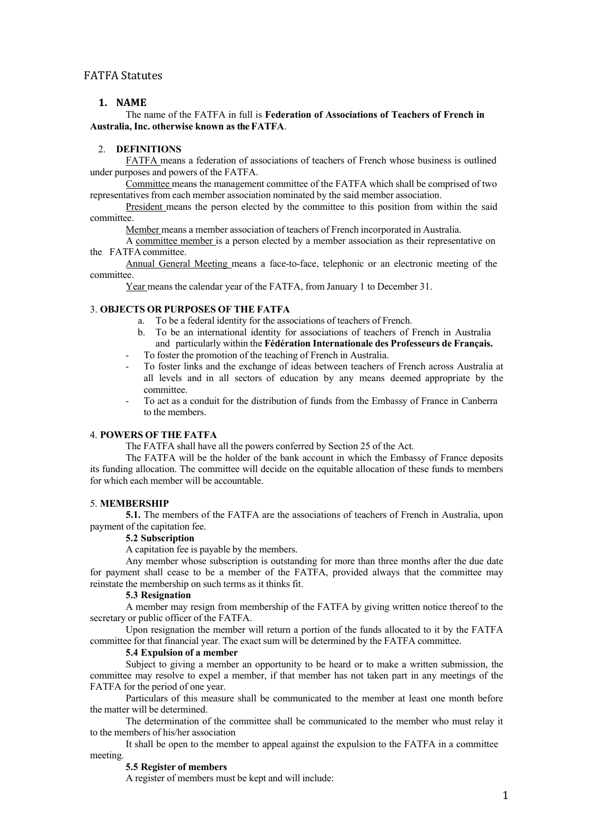## FATFA Statutes

## **1. NAME**

The name of the FATFA in full is **Federation of Associations of Teachers of French in Australia, Inc. otherwise known as the FATFA**.

## 2. **DEFINITIONS**

FATFA means a federation of associations of teachers of French whose business is outlined under purposes and powers of the FATFA.

Committee means the management committee of the FATFA which shall be comprised of two representatives from each member association nominated by the said member association.

President means the person elected by the committee to this position from within the said committee.

Member means a member association of teachers of French incorporated in Australia.

A committee member is a person elected by a member association as their representative on the FATFA committee.

Annual General Meeting means a face-to-face, telephonic or an electronic meeting of the committee.

Year means the calendar year of the FATFA, from January 1 to December 31.

## 3. **OBJECTS OR PURPOSES OF THE FATFA**

- a. To be a federal identity for the associations of teachers of French.
- b. To be an international identity for associations of teachers of French in Australia and particularly within the **Fédération Internationale des Professeurs de Français.**
- To foster the promotion of the teaching of French in Australia.
- To foster links and the exchange of ideas between teachers of French across Australia at all levels and in all sectors of education by any means deemed appropriate by the committee.
- To act as a conduit for the distribution of funds from the Embassy of France in Canberra to the members.

# 4. **POWERS OF THE FATFA**

The FATFA shall have all the powers conferred by Section 25 of the Act.

The FATFA will be the holder of the bank account in which the Embassy of France deposits its funding allocation. The committee will decide on the equitable allocation of these funds to members for which each member will be accountable.

#### 5. **MEMBERSHIP**

**5.1.** The members of the FATFA are the associations of teachers of French in Australia, upon payment of the capitation fee.

## **5.2 Subscription**

A capitation fee is payable by the members.

Any member whose subscription is outstanding for more than three months after the due date for payment shall cease to be a member of the FATFA, provided always that the committee may reinstate the membership on such terms as it thinks fit.

#### **5.3 Resignation**

A member may resign from membership of the FATFA by giving written notice thereof to the secretary or public officer of the FATFA.

Upon resignation the member will return a portion of the funds allocated to it by the FATFA committee for that financial year. The exact sum will be determined by the FATFA committee.

#### **5.4 Expulsion of a member**

Subject to giving a member an opportunity to be heard or to make a written submission, the committee may resolve to expel a member, if that member has not taken part in any meetings of the FATFA for the period of one year.

Particulars of this measure shall be communicated to the member at least one month before the matter will be determined.

The determination of the committee shall be communicated to the member who must relay it to the members of his/her association

It shall be open to the member to appeal against the expulsion to the FATFA in a committee meeting.

#### **5.5 Register of members**

A register of members must be kept and will include: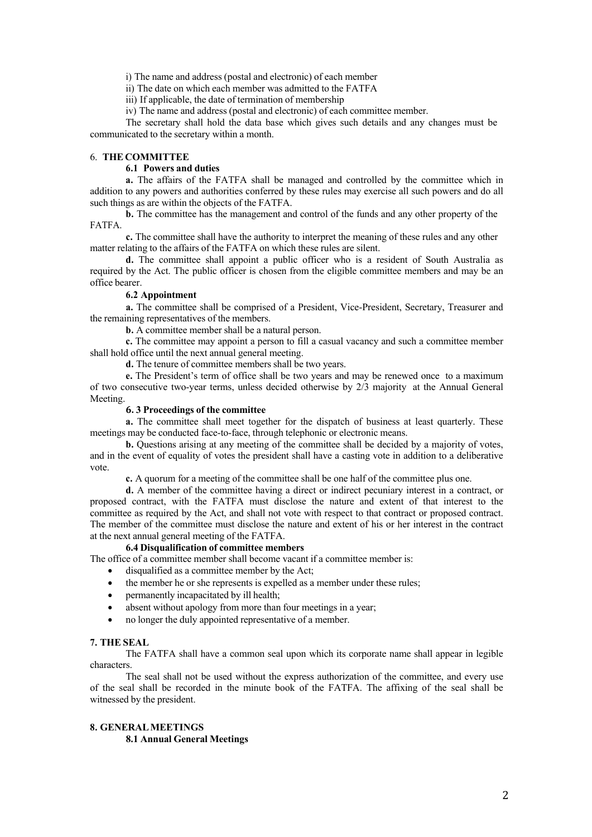i) The name and address (postal and electronic) of each member

ii) The date on which each member was admitted to the FATFA

iii) If applicable, the date of termination of membership

iv) The name and address (postal and electronic) of each committee member.

The secretary shall hold the data base which gives such details and any changes must be communicated to the secretary within a month.

### 6. **THE COMMITTEE**

## **6.1 Powers and duties**

**a.** The affairs of the FATFA shall be managed and controlled by the committee which in addition to any powers and authorities conferred by these rules may exercise all such powers and do all such things as are within the objects of the FATFA.

**b.** The committee has the management and control of the funds and any other property of the FATFA.

**c.** The committee shall have the authority to interpret the meaning of these rules and any other matter relating to the affairs of the FATFA on which these rules are silent.

**d.** The committee shall appoint a public officer who is a resident of South Australia as required by the Act. The public officer is chosen from the eligible committee members and may be an office bearer.

#### **6.2 Appointment**

**a.** The committee shall be comprised of a President, Vice-President, Secretary, Treasurer and the remaining representatives of the members.

**b.** A committee member shall be a natural person.

**c.** The committee may appoint a person to fill a casual vacancy and such a committee member shall hold office until the next annual general meeting.

d. The tenure of committee members shall be two years.

**e.** The President's term of office shall be two years and may be renewed once to a maximum of two consecutive two-year terms, unless decided otherwise by 2/3 majority at the Annual General Meeting.

## **6. 3 Proceedings of the committee**

**a.** The committee shall meet together for the dispatch of business at least quarterly. These meetings may be conducted face-to-face, through telephonic or electronic means.

**b.** Questions arising at any meeting of the committee shall be decided by a majority of votes, and in the event of equality of votes the president shall have a casting vote in addition to a deliberative vote.

**c.** A quorum for a meeting of the committee shall be one half of the committee plus one.

**d.** A member of the committee having a direct or indirect pecuniary interest in a contract, or proposed contract, with the FATFA must disclose the nature and extent of that interest to the committee as required by the Act, and shall not vote with respect to that contract or proposed contract. The member of the committee must disclose the nature and extent of his or her interest in the contract at the next annual general meeting of the FATFA.

## **6.4 Disqualification of committee members**

The office of a committee member shall become vacant if a committee member is:

- disqualified as a committee member by the Act;
- the member he or she represents is expelled as a member under these rules;
- permanently incapacitated by ill health;
- absent without apology from more than four meetings in a year;
- no longer the duly appointed representative of a member.

#### **7. THE SEAL**

The FATFA shall have a common seal upon which its corporate name shall appear in legible characters.

The seal shall not be used without the express authorization of the committee, and every use of the seal shall be recorded in the minute book of the FATFA. The affixing of the seal shall be witnessed by the president.

#### **8. GENERALMEETINGS**

**8.1 Annual General Meetings**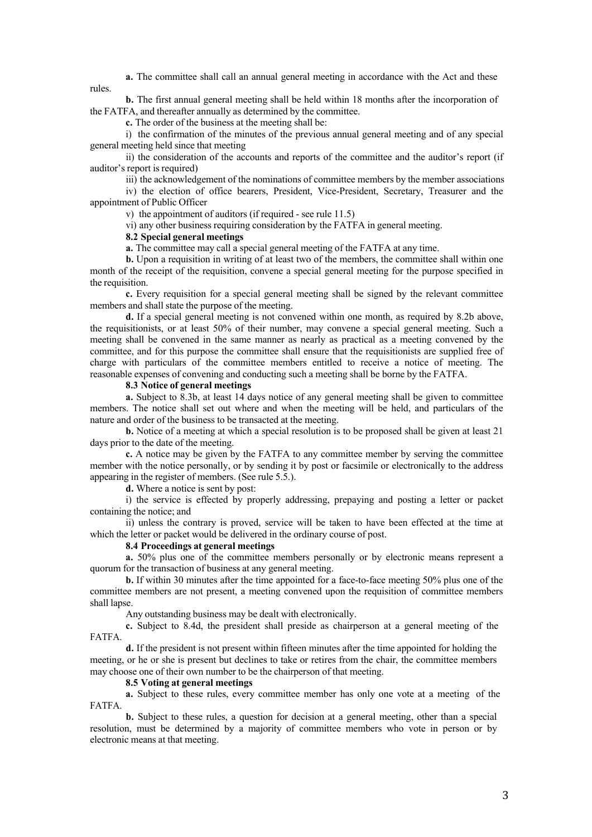rules. **a.** The committee shall call an annual general meeting in accordance with the Act and these

**b.** The first annual general meeting shall be held within 18 months after the incorporation of the FATFA, and thereafter annually as determined by the committee.

**c.** The order of the business at the meeting shall be:

i) the confirmation of the minutes of the previous annual general meeting and of any special general meeting held since that meeting

ii) the consideration of the accounts and reports of the committee and the auditor's report (if auditor's report is required)

iii) the acknowledgement of the nominations of committee members by the member associations

iv) the election of office bearers, President, Vice-President, Secretary, Treasurer and the appointment of Public Officer

v) the appointment of auditors (if required - see rule  $11.5$ )

vi) any other business requiring consideration by the FATFA in general meeting.

## **8.2 Special general meetings**

**a.** The committee may call a special general meeting of the FATFA at any time.

**b.** Upon a requisition in writing of at least two of the members, the committee shall within one month of the receipt of the requisition, convene a special general meeting for the purpose specified in the requisition.

**c.** Every requisition for a special general meeting shall be signed by the relevant committee members and shall state the purpose of the meeting.

**d.** If a special general meeting is not convened within one month, as required by 8.2b above, the requisitionists, or at least 50% of their number, may convene a special general meeting. Such a meeting shall be convened in the same manner as nearly as practical as a meeting convened by the committee, and for this purpose the committee shall ensure that the requisitionists are supplied free of charge with particulars of the committee members entitled to receive a notice of meeting. The reasonable expenses of convening and conducting such a meeting shall be borne by the FATFA.

# **8.3 Notice of general meetings**

**a.** Subject to 8.3b, at least 14 days notice of any general meeting shall be given to committee members. The notice shall set out where and when the meeting will be held, and particulars of the nature and order of the business to be transacted at the meeting.

**b.** Notice of a meeting at which a special resolution is to be proposed shall be given at least 21 days prior to the date of the meeting.

**c.** A notice may be given by the FATFA to any committee member by serving the committee member with the notice personally, or by sending it by post or facsimile or electronically to the address appearing in the register of members. (See rule 5.5.).

**d.** Where a notice is sent by post:

i) the service is effected by properly addressing, prepaying and posting a letter or packet containing the notice; and

ii) unless the contrary is proved, service will be taken to have been effected at the time at which the letter or packet would be delivered in the ordinary course of post.

#### **8.4 Proceedings at general meetings**

**a.** 50% plus one of the committee members personally or by electronic means represent a quorum for the transaction of business at any general meeting.

**b.** If within 30 minutes after the time appointed for a face-to-face meeting 50% plus one of the committee members are not present, a meeting convened upon the requisition of committee members shall lapse.

Any outstanding business may be dealt with electronically.

**c.** Subject to 8.4d, the president shall preside as chairperson at a general meeting of the FATFA.

**d.** If the president is not present within fifteen minutes after the time appointed for holding the meeting, or he or she is present but declines to take or retires from the chair, the committee members may choose one of their own number to be the chairperson of that meeting.

#### **8.5 Voting at general meetings**

**a.** Subject to these rules, every committee member has only one vote at a meeting of the FATFA.

**b.** Subject to these rules, a question for decision at a general meeting, other than a special resolution, must be determined by a majority of committee members who vote in person or by electronic means at that meeting.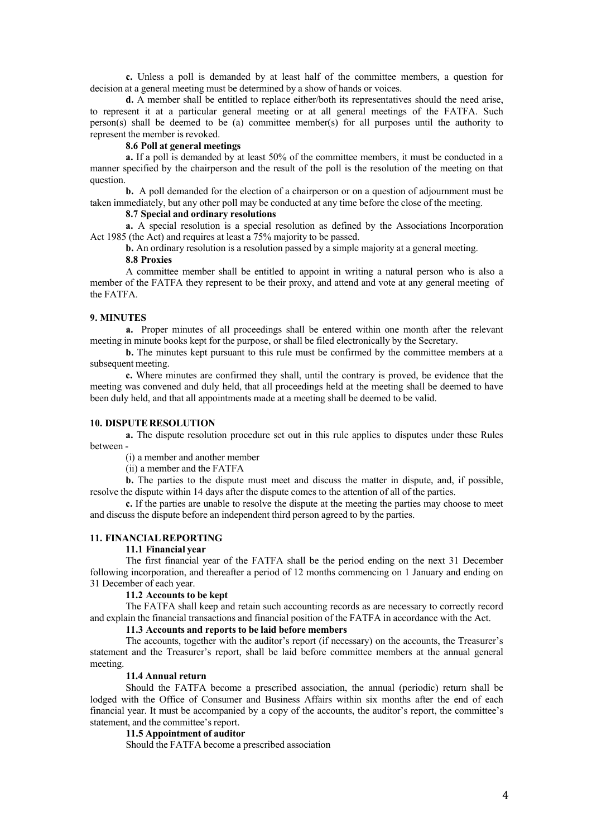**c.** Unless a poll is demanded by at least half of the committee members, a question for decision at a general meeting must be determined by a show of hands or voices.

**d.** A member shall be entitled to replace either/both its representatives should the need arise, to represent it at a particular general meeting or at all general meetings of the FATFA. Such person(s) shall be deemed to be (a) committee member(s) for all purposes until the authority to represent the member is revoked.

#### **8.6 Poll at general meetings**

**a.** If a poll is demanded by at least 50% of the committee members, it must be conducted in a manner specified by the chairperson and the result of the poll is the resolution of the meeting on that question.

**b.** A poll demanded for the election of a chairperson or on a question of adjournment must be taken immediately, but any other poll may be conducted at any time before the close of the meeting.

## **8.7 Special and ordinary resolutions**

**a.** A special resolution is a special resolution as defined by the Associations Incorporation Act 1985 (the Act) and requires at least a 75% majority to be passed.

**b.** An ordinary resolution is a resolution passed by a simple majority at a general meeting.

## **8.8 Proxies**

A committee member shall be entitled to appoint in writing a natural person who is also a member of the FATFA they represent to be their proxy, and attend and vote at any general meeting of the FATFA.

#### **9. MINUTES**

**a.** Proper minutes of all proceedings shall be entered within one month after the relevant meeting in minute books kept for the purpose, or shall be filed electronically by the Secretary.

**b.** The minutes kept pursuant to this rule must be confirmed by the committee members at a subsequent meeting.

**c.** Where minutes are confirmed they shall, until the contrary is proved, be evidence that the meeting was convened and duly held, that all proceedings held at the meeting shall be deemed to have been duly held, and that all appointments made at a meeting shall be deemed to be valid.

#### **10. DISPUTERESOLUTION**

**a.** The dispute resolution procedure set out in this rule applies to disputes under these Rules between -

(i) a member and another member

(ii) a member and the FATFA

**b.** The parties to the dispute must meet and discuss the matter in dispute, and, if possible, resolve the dispute within 14 days after the dispute comes to the attention of all of the parties.

**c.** If the parties are unable to resolve the dispute at the meeting the parties may choose to meet and discuss the dispute before an independent third person agreed to by the parties.

# **11. FINANCIALREPORTING**

# **11.1 Financial year**

The first financial year of the FATFA shall be the period ending on the next 31 December following incorporation, and thereafter a period of 12 months commencing on 1 January and ending on 31 December of each year.

## **11.2 Accounts to be kept**

The FATFA shall keep and retain such accounting records as are necessary to correctly record and explain the financial transactions and financial position of the FATFA in accordance with the Act.

## **11.3 Accounts and reports to be laid before members**

The accounts, together with the auditor's report (if necessary) on the accounts, the Treasurer's statement and the Treasurer's report, shall be laid before committee members at the annual general meeting.

#### **11.4 Annual return**

Should the FATFA become a prescribed association, the annual (periodic) return shall be lodged with the Office of Consumer and Business Affairs within six months after the end of each financial year. It must be accompanied by a copy of the accounts, the auditor's report, the committee's statement, and the committee's report.

#### **11.5 Appointment of auditor**

Should the FATFA become a prescribed association